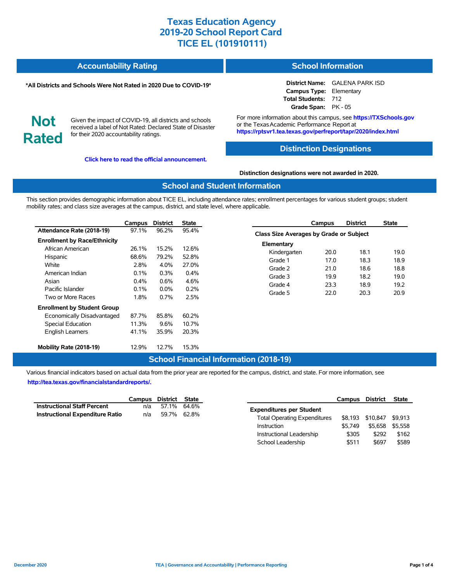#### **Accountability Rating School Information**

#### **\*All Districts and Schools Were Not Rated in 2020 Due to COVID-19\***

# **Not Rated**

Given the impact of COVID-19, all districts and schools received a label of Not Rated: Declared State of Disaster for their 2020 accountability ratings.

**[Click here to read the official announcement.](https://tea.texas.gov/about-tea/news-and-multimedia/correspondence/taa-letters/every-student-succeeds-act-essa-waiver-approval-2020-state-academic-accountability)**

**District Name:** GALENA PARK ISD

**Campus Type:** Elementary **Total Students:** 712 **Grade Span:** PK - 05

For more information about this campus, see **https://TXSchools.gov** or the Texas Academic Performance Report at **https://rptsvr1.tea.texas.gov/perfreport/tapr/2020/index.html**

#### **Distinction Designations**

#### **Distinction designations were not awarded in 2020.**

#### **School and Student Information**

This section provides demographic information about TICE EL, including attendance rates; enrollment percentages for various student groups; student mobility rates; and class size averages at the campus, district, and state level, where applicable.

|                                     | Campus  | <b>District</b> | <b>State</b> |
|-------------------------------------|---------|-----------------|--------------|
| Attendance Rate (2018-19)           | 97.1%   | 96.2%           | 95.4%        |
| <b>Enrollment by Race/Ethnicity</b> |         |                 |              |
| African American                    | 26.1%   | 15.2%           | 12.6%        |
| Hispanic                            | 68.6%   | 79.2%           | 52.8%        |
| White                               | 2.8%    | $4.0\%$         | 27.0%        |
| American Indian                     | 0.1%    | 0.3%            | 0.4%         |
| Asian                               | $0.4\%$ | $0.6\%$         | 4.6%         |
| Pacific Islander                    | $0.1\%$ | $0.0\%$         | 0.2%         |
| Two or More Races                   | 1.8%    | $0.7\%$         | 2.5%         |
| <b>Enrollment by Student Group</b>  |         |                 |              |
| Economically Disadvantaged          | 87.7%   | 85.8%           | 60.2%        |
| <b>Special Education</b>            | 11.3%   | 9.6%            | 10.7%        |
| <b>English Learners</b>             | 41.1%   | 35.9%           | 20.3%        |
| Mobility Rate (2018-19)             | 12.9%   | 12.7%           | 15.3%        |

|                                                | Campus | <b>District</b> | <b>State</b> |  |  |  |  |  |  |
|------------------------------------------------|--------|-----------------|--------------|--|--|--|--|--|--|
| <b>Class Size Averages by Grade or Subject</b> |        |                 |              |  |  |  |  |  |  |
| Elementary                                     |        |                 |              |  |  |  |  |  |  |
| Kindergarten                                   | 20.0   | 18.1            | 19.0         |  |  |  |  |  |  |
| Grade 1                                        | 17.0   | 18.3            | 18.9         |  |  |  |  |  |  |
| Grade 2                                        | 21.0   | 18.6            | 18.8         |  |  |  |  |  |  |
| Grade 3                                        | 19.9   | 18.2            | 19.0         |  |  |  |  |  |  |
| Grade 4                                        | 23.3   | 18.9            | 19.2         |  |  |  |  |  |  |
| Grade 5                                        | 22.0   | 20.3            | 20.9         |  |  |  |  |  |  |

### **School Financial Information (2018-19)**

Various financial indicators based on actual data from the prior year are reported for the campus, district, and state. For more information, see **[http://tea.texas.gov/financialstandardreports/.](http://tea.texas.gov/financialstandardreports/)**

|                                        | Campus District State |             |  |
|----------------------------------------|-----------------------|-------------|--|
| <b>Instructional Staff Percent</b>     | n/a                   | 57.1% 64.6% |  |
| <b>Instructional Expenditure Ratio</b> | n/a                   | 59.7% 62.8% |  |

|                                     | Campus  | District | <b>State</b> |
|-------------------------------------|---------|----------|--------------|
| <b>Expenditures per Student</b>     |         |          |              |
| <b>Total Operating Expenditures</b> | \$8.193 | \$10.847 | \$9.913      |
| Instruction                         | \$5.749 | \$5.658  | \$5.558      |
| Instructional Leadership            | \$305   | \$292    | \$162        |
| School Leadership                   | \$511   | \$697    | \$589        |

Ĭ.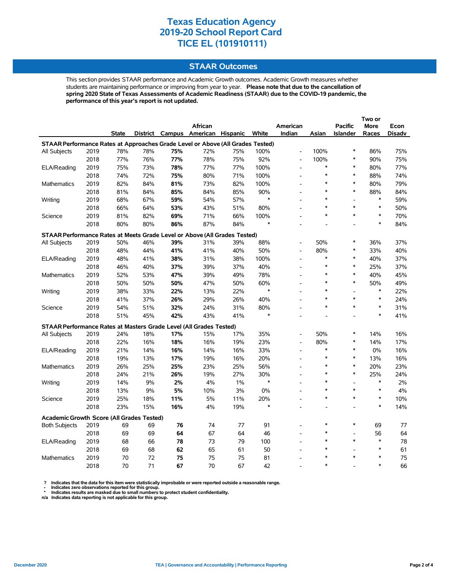### **STAAR Outcomes**

This section provides STAAR performance and Academic Growth outcomes. Academic Growth measures whether students are maintaining performance or improving from year to year. **Please note that due to the cancellation of spring 2020 State of Texas Assessments of Academic Readiness (STAAR) due to the COVID-19 pandemic, the performance of this year's report is not updated.**

|                                                                                |      |       |     |     |                                   |     |        |                          |        |                 | Two or |        |
|--------------------------------------------------------------------------------|------|-------|-----|-----|-----------------------------------|-----|--------|--------------------------|--------|-----------------|--------|--------|
|                                                                                |      |       |     |     | African                           |     |        | American                 |        | <b>Pacific</b>  | More   | Econ   |
|                                                                                |      | State |     |     | District Campus American Hispanic |     | White  | Indian                   | Asian  | <b>Islander</b> | Races  | Disadv |
| STAAR Performance Rates at Approaches Grade Level or Above (All Grades Tested) |      |       |     |     |                                   |     |        |                          |        |                 |        |        |
| All Subjects                                                                   | 2019 | 78%   | 78% | 75% | 72%                               | 75% | 100%   | $\overline{a}$           | 100%   | *               | 86%    | 75%    |
|                                                                                | 2018 | 77%   | 76% | 77% | 78%                               | 75% | 92%    | $\overline{\phantom{a}}$ | 100%   | *               | 90%    | 75%    |
| ELA/Reading                                                                    | 2019 | 75%   | 73% | 78% | 77%                               | 77% | 100%   | $\overline{\phantom{a}}$ | $\ast$ | $\ast$          | 80%    | 77%    |
|                                                                                | 2018 | 74%   | 72% | 75% | 80%                               | 71% | 100%   | $\overline{\phantom{a}}$ | $\ast$ | $\ast$          | 88%    | 74%    |
| Mathematics                                                                    | 2019 | 82%   | 84% | 81% | 73%                               | 82% | 100%   |                          | $\ast$ | $\ast$          | 80%    | 79%    |
|                                                                                | 2018 | 81%   | 84% | 85% | 84%                               | 85% | 90%    |                          | $\ast$ | $\ast$          | 88%    | 84%    |
| Writing                                                                        | 2019 | 68%   | 67% | 59% | 54%                               | 57% | $\ast$ |                          | $\ast$ | $\overline{a}$  | $\ast$ | 59%    |
|                                                                                | 2018 | 66%   | 64% | 53% | 43%                               | 51% | 80%    |                          |        | *               | $\ast$ | 50%    |
| Science                                                                        | 2019 | 81%   | 82% | 69% | 71%                               | 66% | 100%   |                          | $\ast$ | $\ast$          | $\ast$ | 70%    |
|                                                                                | 2018 | 80%   | 80% | 86% | 87%                               | 84% | $\ast$ |                          |        |                 | $\ast$ | 84%    |
| STAAR Performance Rates at Meets Grade Level or Above (All Grades Tested)      |      |       |     |     |                                   |     |        |                          |        |                 |        |        |
| All Subjects                                                                   | 2019 | 50%   | 46% | 39% | 31%                               | 39% | 88%    |                          | 50%    | $\ast$          | 36%    | 37%    |
|                                                                                | 2018 | 48%   | 44% | 41% | 41%                               | 40% | 50%    | $\overline{\phantom{a}}$ | 80%    | $\ast$          | 33%    | 40%    |
| ELA/Reading                                                                    | 2019 | 48%   | 41% | 38% | 31%                               | 38% | 100%   |                          | $\ast$ | $\ast$          | 40%    | 37%    |
|                                                                                | 2018 | 46%   | 40% | 37% | 39%                               | 37% | 40%    |                          | $\ast$ | $\ast$          | 25%    | 37%    |
| Mathematics                                                                    | 2019 | 52%   | 53% | 47% | 39%                               | 49% | 78%    |                          | $\ast$ | $\ast$          | 40%    | 45%    |
|                                                                                | 2018 | 50%   | 50% | 50% | 47%                               | 50% | 60%    |                          |        | $\ast$          | 50%    | 49%    |
| Writing                                                                        | 2019 | 38%   | 33% | 22% | 13%                               | 22% | $\ast$ |                          | $\ast$ |                 | $\ast$ | 22%    |
|                                                                                | 2018 | 41%   | 37% | 26% | 29%                               | 26% | 40%    |                          | $\ast$ | $\ast$          | $\ast$ | 24%    |
| Science                                                                        | 2019 | 54%   | 51% | 32% | 24%                               | 31% | 80%    |                          | $\ast$ | $\ast$          | $\ast$ | 31%    |
|                                                                                | 2018 | 51%   | 45% | 42% | 43%                               | 41% | $\ast$ |                          |        |                 | $\ast$ | 41%    |
| STAAR Performance Rates at Masters Grade Level (All Grades Tested)             |      |       |     |     |                                   |     |        |                          |        |                 |        |        |
| All Subjects                                                                   | 2019 | 24%   | 18% | 17% | 15%                               | 17% | 35%    | $\overline{\phantom{a}}$ | 50%    | $\ast$          | 14%    | 16%    |
|                                                                                | 2018 | 22%   | 16% | 18% | 16%                               | 19% | 23%    | L,                       | 80%    | $\ast$          | 14%    | 17%    |
| ELA/Reading                                                                    | 2019 | 21%   | 14% | 16% | 14%                               | 16% | 33%    |                          | $\ast$ | $\ast$          | 0%     | 16%    |
|                                                                                | 2018 | 19%   | 13% | 17% | 19%                               | 16% | 20%    | $\overline{a}$           | $\ast$ | *               | 13%    | 16%    |
| Mathematics                                                                    | 2019 | 26%   | 25% | 25% | 23%                               | 25% | 56%    |                          | $\ast$ | $\ast$          | 20%    | 23%    |
|                                                                                | 2018 | 24%   | 21% | 26% | 19%                               | 27% | 30%    |                          | $\ast$ | $\ast$          | 25%    | 24%    |
| Writing                                                                        | 2019 | 14%   | 9%  | 2%  | 4%                                | 1%  | $\ast$ |                          | $\ast$ | L,              | $\ast$ | 2%     |
|                                                                                | 2018 | 13%   | 9%  | 5%  | 10%                               | 3%  | 0%     |                          | $\ast$ | $\ast$          | $\ast$ | 4%     |
| Science                                                                        | 2019 | 25%   | 18% | 11% | 5%                                | 11% | 20%    | L,                       | *      | $\ast$          | $\ast$ | 10%    |
|                                                                                | 2018 | 23%   | 15% | 16% | 4%                                | 19% | $\ast$ |                          |        |                 | $\ast$ | 14%    |
| <b>Academic Growth Score (All Grades Tested)</b>                               |      |       |     |     |                                   |     |        |                          |        |                 |        |        |
| <b>Both Subjects</b>                                                           | 2019 | 69    | 69  | 76  | 74                                | 77  | 91     |                          | $\ast$ | $\ast$          | 69     | 77     |
|                                                                                | 2018 | 69    | 69  | 64  | 67                                | 64  | 46     |                          | $\ast$ | $\overline{a}$  | 56     | 64     |
| ELA/Reading                                                                    | 2019 | 68    | 66  | 78  | 73                                | 79  | 100    |                          | $\ast$ | $\ast$          | $\ast$ | 78     |
|                                                                                | 2018 | 69    | 68  | 62  | 65                                | 61  | 50     |                          | $\ast$ |                 | $\ast$ | 61     |
| Mathematics                                                                    | 2019 | 70    | 72  | 75  | 75                                | 75  | 81     |                          |        | $\ast$          | $\ast$ | 75     |
|                                                                                | 2018 | 70    | 71  | 67  | 70                                | 67  | 42     |                          | $\ast$ |                 | $\ast$ | 66     |

? Indicates that the data for this item were statistically improbable or were reported outside a reasonable range.<br>- Indicates zero observations reported for this group.<br>\* Indicates results are masked due to small numbers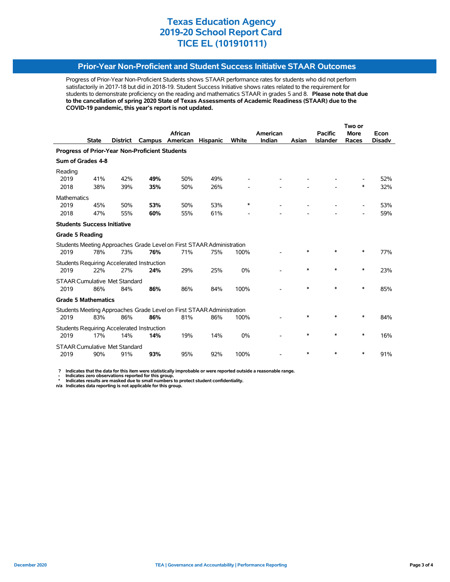### **Prior-Year Non-Proficient and Student Success Initiative STAAR Outcomes**

Progress of Prior-Year Non-Proficient Students shows STAAR performance rates for students who did not perform satisfactorily in 2017-18 but did in 2018-19. Student Success Initiative shows rates related to the requirement for students to demonstrate proficiency on the reading and mathematics STAAR in grades 5 and 8. **Please note that due to the cancellation of spring 2020 State of Texas Assessments of Academic Readiness (STAAR) due to the COVID-19 pandemic, this year's report is not updated.**

|                                                |              |                                      |                                                   |                                                                       |                 |        | Two or   |        |                 |                          |               |  |
|------------------------------------------------|--------------|--------------------------------------|---------------------------------------------------|-----------------------------------------------------------------------|-----------------|--------|----------|--------|-----------------|--------------------------|---------------|--|
|                                                |              |                                      |                                                   | African                                                               |                 |        | American |        | <b>Pacific</b>  | <b>More</b>              | Econ          |  |
|                                                | <b>State</b> | <b>District</b>                      | Campus                                            | American                                                              | <b>Hispanic</b> | White  | Indian   | Asian  | <b>Islander</b> | Races                    | <b>Disadv</b> |  |
| Progress of Prior-Year Non-Proficient Students |              |                                      |                                                   |                                                                       |                 |        |          |        |                 |                          |               |  |
| Sum of Grades 4-8                              |              |                                      |                                                   |                                                                       |                 |        |          |        |                 |                          |               |  |
| Reading                                        |              |                                      |                                                   |                                                                       |                 |        |          |        |                 |                          |               |  |
| 2019<br>2018                                   | 41%<br>38%   | 42%<br>39%                           | 49%<br>35%                                        | 50%<br>50%                                                            | 49%<br>26%      |        |          |        |                 | *                        | 52%<br>32%    |  |
|                                                |              |                                      |                                                   |                                                                       |                 |        |          |        |                 |                          |               |  |
| <b>Mathematics</b>                             |              |                                      |                                                   |                                                                       |                 | $\ast$ |          |        |                 |                          |               |  |
| 2019<br>2018                                   | 45%<br>47%   | 50%<br>55%                           | 53%<br>60%                                        | 50%<br>55%                                                            | 53%<br>61%      |        |          |        |                 |                          | 53%<br>59%    |  |
|                                                |              |                                      |                                                   |                                                                       |                 |        |          |        |                 | $\overline{\phantom{a}}$ |               |  |
| <b>Students Success Initiative</b>             |              |                                      |                                                   |                                                                       |                 |        |          |        |                 |                          |               |  |
| <b>Grade 5 Reading</b>                         |              |                                      |                                                   |                                                                       |                 |        |          |        |                 |                          |               |  |
|                                                |              |                                      |                                                   | Students Meeting Approaches Grade Level on First STAAR Administration |                 |        |          |        |                 |                          |               |  |
| 2019                                           | 78%          | 73%                                  | 76%                                               | 71%                                                                   | 75%             | 100%   |          | $\ast$ |                 | $\ast$                   | 77%           |  |
|                                                |              |                                      | <b>Students Requiring Accelerated Instruction</b> |                                                                       |                 |        |          |        |                 |                          |               |  |
| 2019                                           | 22%          | 27%                                  | 24%                                               | 29%                                                                   | 25%             | 0%     |          | $\ast$ | $\ast$          | $\ast$                   | 23%           |  |
|                                                |              | <b>STAAR Cumulative Met Standard</b> |                                                   |                                                                       |                 |        |          |        |                 |                          |               |  |
| 2019                                           | 86%          | 84%                                  | 86%                                               | 86%                                                                   | 84%             | 100%   |          | $\ast$ | $\ast$          | $\ast$                   | 85%           |  |
| <b>Grade 5 Mathematics</b>                     |              |                                      |                                                   |                                                                       |                 |        |          |        |                 |                          |               |  |
|                                                |              |                                      |                                                   | Students Meeting Approaches Grade Level on First STAAR Administration |                 |        |          |        |                 |                          |               |  |
| 2019                                           | 83%          | 86%                                  | 86%                                               | 81%                                                                   | 86%             | 100%   |          | $\ast$ | *               | ∗                        | 84%           |  |
|                                                |              |                                      | <b>Students Requiring Accelerated Instruction</b> |                                                                       |                 |        |          |        |                 |                          |               |  |
| 2019                                           | 17%          | 14%                                  | 14%                                               | 19%                                                                   | 14%             | 0%     |          | *      | *               | ∗                        | 16%           |  |
| <b>STAAR Cumulative Met Standard</b>           |              |                                      |                                                   |                                                                       |                 |        |          |        |                 |                          |               |  |
| 2019                                           | 90%          | 91%                                  | 93%                                               | 95%                                                                   | 92%             | 100%   |          | *      | *               | *                        | 91%           |  |

 **? Indicates that the data for this item were statistically improbable or were reported outside a reasonable range.**

 **- Indicates zero observations reported for this group. \* Indicates results are masked due to small numbers to protect student confidentiality.**

**n/a Indicates data reporting is not applicable for this group.**